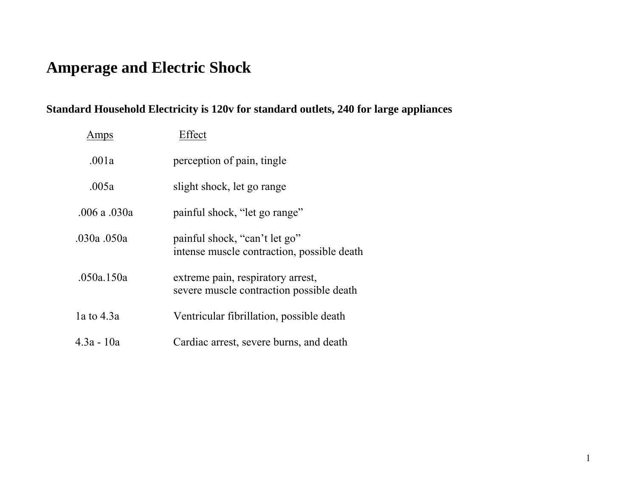## **Amperage and Electric Shock**

## **Standard Household Electricity is 120v for standard outlets, 240 for large appliances**

| Amps          | Effect                                                                        |  |
|---------------|-------------------------------------------------------------------------------|--|
| .001a         | perception of pain, tingle                                                    |  |
| .005a         | slight shock, let go range                                                    |  |
| $.006a$ .030a | painful shock, "let go range"                                                 |  |
| .030a .050a   | painful shock, "can't let go"<br>intense muscle contraction, possible death   |  |
| .050a.150a    | extreme pain, respiratory arrest,<br>severe muscle contraction possible death |  |
| la to $4.3a$  | Ventricular fibrillation, possible death                                      |  |
| $4.3a - 10a$  | Cardiac arrest, severe burns, and death                                       |  |